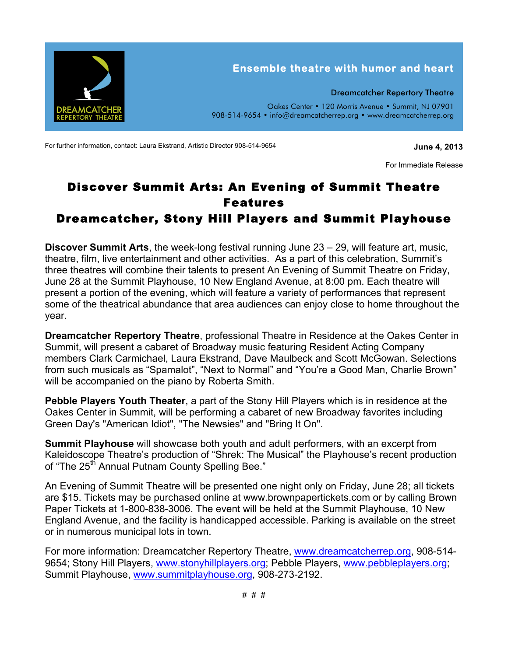

For further information, contact: Laura Ekstrand, Artistic Director 908-514-9654 **June 4, 2013** 

For Immediate Release

## Discover Summit Arts: An Evening of Summit Theatre Features Dreamcatcher, Stony Hill Players and Summit Playhouse

**Discover Summit Arts**, the week-long festival running June 23 – 29, will feature art, music, theatre, film, live entertainment and other activities. As a part of this celebration, Summit's three theatres will combine their talents to present An Evening of Summit Theatre on Friday, June 28 at the Summit Playhouse, 10 New England Avenue, at 8:00 pm. Each theatre will present a portion of the evening, which will feature a variety of performances that represent some of the theatrical abundance that area audiences can enjoy close to home throughout the year.

**Dreamcatcher Repertory Theatre**, professional Theatre in Residence at the Oakes Center in Summit, will present a cabaret of Broadway music featuring Resident Acting Company members Clark Carmichael, Laura Ekstrand, Dave Maulbeck and Scott McGowan. Selections from such musicals as "Spamalot", "Next to Normal" and "You're a Good Man, Charlie Brown" will be accompanied on the piano by Roberta Smith.

**Pebble Players Youth Theater**, a part of the Stony Hill Players which is in residence at the Oakes Center in Summit, will be performing a cabaret of new Broadway favorites including Green Day's "American Idiot", "The Newsies" and "Bring It On".

**Summit Playhouse** will showcase both youth and adult performers, with an excerpt from Kaleidoscope Theatre's production of "Shrek: The Musical" the Playhouse's recent production of "The 25<sup>th</sup> Annual Putnam County Spelling Bee."

An Evening of Summit Theatre will be presented one night only on Friday, June 28; all tickets are \$15. Tickets may be purchased online at www.brownpapertickets.com or by calling Brown Paper Tickets at 1-800-838-3006. The event will be held at the Summit Playhouse, 10 New England Avenue, and the facility is handicapped accessible. Parking is available on the street or in numerous municipal lots in town.

For more information: Dreamcatcher Repertory Theatre, www.dreamcatcherrep.org, 908-514- 9654; Stony Hill Players, www.stonyhillplayers.org; Pebble Players, www.pebbleplayers.org; Summit Playhouse, www.summitplayhouse.org, 908-273-2192.